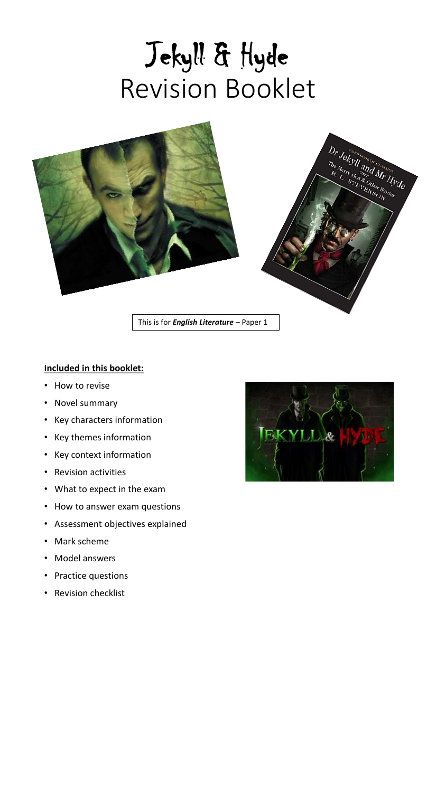# Jekyll & Hyde Revision Booklet



This is for *English Literature* – Paper 1

## **Included in this booklet:**

- How to revise
- Novel summary
- Key characters information
- Key themes information
- Key context information
- Revision activities
- What to expect in the exam
- How to answer exam questions
- Assessment objectives explained
- Mark scheme
- Model answers
- Practice questions
- Revision checklist

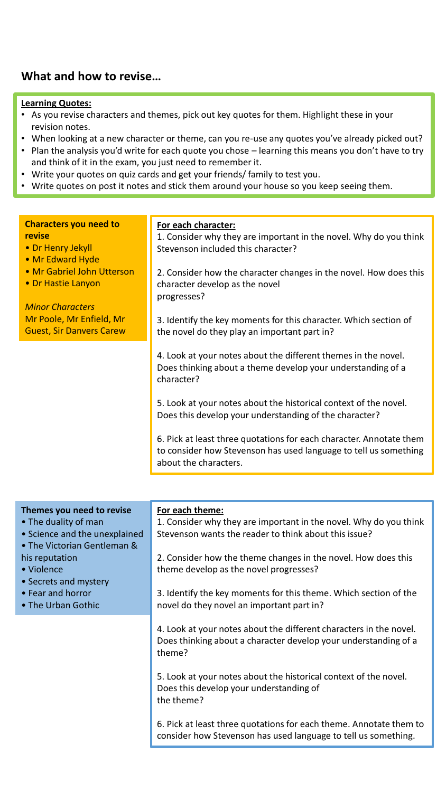# **What and how to revise…**

#### **Learning Quotes:**

- As you revise characters and themes, pick out key quotes for them. Highlight these in your revision notes.
- When looking at a new character or theme, can you re-use any quotes you've already picked out?
- Plan the analysis you'd write for each quote you chose learning this means you don't have to try and think of it in the exam, you just need to remember it.
- Write your quotes on quiz cards and get your friends/ family to test you.
- Write quotes on post it notes and stick them around your house so you keep seeing them.

| <b>Characters you need to</b><br>revise<br>• Dr Henry Jekyll<br>• Mr Edward Hyde<br>• Mr Gabriel John Utterson<br>• Dr Hastie Lanyon<br><b>Minor Characters</b><br>Mr Poole, Mr Enfield, Mr<br><b>Guest, Sir Danvers Carew</b> | For each character:<br>1. Consider why they are important in the novel. Why do you think<br>Stevenson included this character?<br>2. Consider how the character changes in the novel. How does this<br>character develop as the novel<br>progresses?<br>3. Identify the key moments for this character. Which section of<br>the novel do they play an important part in?<br>4. Look at your notes about the different themes in the novel.<br>Does thinking about a theme develop your understanding of a<br>character?<br>5. Look at your notes about the historical context of the novel. |
|--------------------------------------------------------------------------------------------------------------------------------------------------------------------------------------------------------------------------------|---------------------------------------------------------------------------------------------------------------------------------------------------------------------------------------------------------------------------------------------------------------------------------------------------------------------------------------------------------------------------------------------------------------------------------------------------------------------------------------------------------------------------------------------------------------------------------------------|
| Themes you need to revise                                                                                                                                                                                                      | Does this develop your understanding of the character?<br>6. Pick at least three quotations for each character. Annotate them<br>to consider how Stevenson has used language to tell us something<br>about the characters.<br>For each theme:                                                                                                                                                                                                                                                                                                                                               |
| • The duality of man<br>• Science and the unexplained<br>• The Victorian Gentleman &                                                                                                                                           | 1. Consider why they are important in the novel. Why do you think<br>Stevenson wants the reader to think about this issue?                                                                                                                                                                                                                                                                                                                                                                                                                                                                  |

theme develop as the novel progresses?

- his reputation
- Violence
- Secrets and mystery
- Fear and horror
- The Urban Gothic
- 3. Identify the key moments for this theme. Which section of the novel do they novel an important part in?

2. Consider how the theme changes in the novel. How does this

4. Look at your notes about the different characters in the novel. Does thinking about a character develop your understanding of a theme?

5. Look at your notes about the historical context of the novel. Does this develop your understanding of the theme?

6. Pick at least three quotations for each theme. Annotate them to consider how Stevenson has used language to tell us something.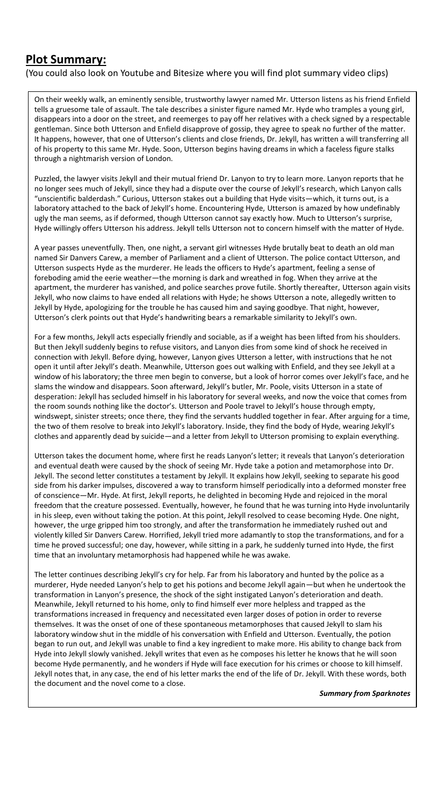# **Plot Summary:**

(You could also look on Youtube and Bitesize where you will find plot summary video clips)

On their weekly walk, an eminently sensible, trustworthy lawyer named Mr. Utterson listens as his friend Enfield tells a gruesome tale of assault. The tale describes a sinister figure named Mr. Hyde who tramples a young girl, disappears into a door on the street, and reemerges to pay off her relatives with a check signed by a respectable gentleman. Since both Utterson and Enfield disapprove of gossip, they agree to speak no further of the matter. It happens, however, that one of Utterson's clients and close friends, Dr. Jekyll, has written a will transferring all of his property to this same Mr. Hyde. Soon, Utterson begins having dreams in which a faceless figure stalks through a nightmarish version of London.

Puzzled, the lawyer visits Jekyll and their mutual friend Dr. Lanyon to try to learn more. Lanyon reports that he no longer sees much of Jekyll, since they had a dispute over the course of Jekyll's research, which Lanyon calls "unscientific balderdash." Curious, Utterson stakes out a building that Hyde visits—which, it turns out, is a laboratory attached to the back of Jekyll's home. Encountering Hyde, Utterson is amazed by how undefinably ugly the man seems, as if deformed, though Utterson cannot say exactly how. Much to Utterson's surprise, Hyde willingly offers Utterson his address. Jekyll tells Utterson not to concern himself with the matter of Hyde.

A year passes uneventfully. Then, one night, a servant girl witnesses Hyde brutally beat to death an old man named Sir Danvers Carew, a member of Parliament and a client of Utterson. The police contact Utterson, and Utterson suspects Hyde as the murderer. He leads the officers to Hyde's apartment, feeling a sense of foreboding amid the eerie weather—the morning is dark and wreathed in fog. When they arrive at the apartment, the murderer has vanished, and police searches prove futile. Shortly thereafter, Utterson again visits Jekyll, who now claims to have ended all relations with Hyde; he shows Utterson a note, allegedly written to Jekyll by Hyde, apologizing for the trouble he has caused him and saying goodbye. That night, however, Utterson's clerk points out that Hyde's handwriting bears a remarkable similarity to Jekyll's own.

For a few months, Jekyll acts especially friendly and sociable, as if a weight has been lifted from his shoulders. But then Jekyll suddenly begins to refuse visitors, and Lanyon dies from some kind of shock he received in connection with Jekyll. Before dying, however, Lanyon gives Utterson a letter, with instructions that he not open it until after Jekyll's death. Meanwhile, Utterson goes out walking with Enfield, and they see Jekyll at a window of his laboratory; the three men begin to converse, but a look of horror comes over Jekyll's face, and he slams the window and disappears. Soon afterward, Jekyll's butler, Mr. Poole, visits Utterson in a state of desperation: Jekyll has secluded himself in his laboratory for several weeks, and now the voice that comes from the room sounds nothing like the doctor's. Utterson and Poole travel to Jekyll's house through empty, windswept, sinister streets; once there, they find the servants huddled together in fear. After arguing for a time, the two of them resolve to break into Jekyll's laboratory. Inside, they find the body of Hyde, wearing Jekyll's clothes and apparently dead by suicide—and a letter from Jekyll to Utterson promising to explain everything.

Utterson takes the document home, where first he reads Lanyon's letter; it reveals that Lanyon's deterioration and eventual death were caused by the shock of seeing Mr. Hyde take a potion and metamorphose into Dr. Jekyll. The second letter constitutes a testament by Jekyll. It explains how Jekyll, seeking to separate his good side from his darker impulses, discovered a way to transform himself periodically into a deformed monster free of conscience—Mr. Hyde. At first, Jekyll reports, he delighted in becoming Hyde and rejoiced in the moral freedom that the creature possessed. Eventually, however, he found that he was turning into Hyde involuntarily in his sleep, even without taking the potion. At this point, Jekyll resolved to cease becoming Hyde. One night, however, the urge gripped him too strongly, and after the transformation he immediately rushed out and violently killed Sir Danvers Carew. Horrified, Jekyll tried more adamantly to stop the transformations, and for a time he proved successful; one day, however, while sitting in a park, he suddenly turned into Hyde, the first time that an involuntary metamorphosis had happened while he was awake.

The letter continues describing Jekyll's cry for help. Far from his laboratory and hunted by the police as a murderer, Hyde needed Lanyon's help to get his potions and become Jekyll again—but when he undertook the transformation in Lanyon's presence, the shock of the sight instigated Lanyon's deterioration and death. Meanwhile, Jekyll returned to his home, only to find himself ever more helpless and trapped as the transformations increased in frequency and necessitated even larger doses of potion in order to reverse themselves. It was the onset of one of these spontaneous metamorphoses that caused Jekyll to slam his laboratory window shut in the middle of his conversation with Enfield and Utterson. Eventually, the potion began to run out, and Jekyll was unable to find a key ingredient to make more. His ability to change back from Hyde into Jekyll slowly vanished. Jekyll writes that even as he composes his letter he knows that he will soon become Hyde permanently, and he wonders if Hyde will face execution for his crimes or choose to kill himself. Jekyll notes that, in any case, the end of his letter marks the end of the life of Dr. Jekyll. With these words, both the document and the novel come to a close.

*Summary from Sparknotes*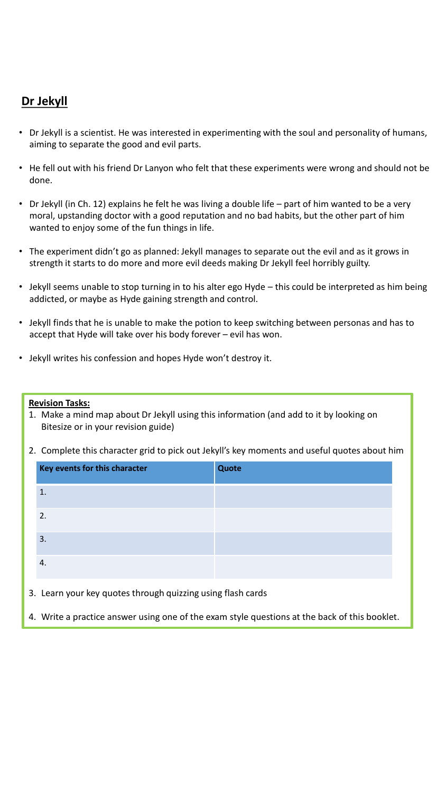# **Dr Jekyll**

- Dr Jekyll is a scientist. He was interested in experimenting with the soul and personality of humans, aiming to separate the good and evil parts.
- He fell out with his friend Dr Lanyon who felt that these experiments were wrong and should not be done.
- Dr Jekyll (in Ch. 12) explains he felt he was living a double life part of him wanted to be a very moral, upstanding doctor with a good reputation and no bad habits, but the other part of him wanted to enjoy some of the fun things in life.
- The experiment didn't go as planned: Jekyll manages to separate out the evil and as it grows in strength it starts to do more and more evil deeds making Dr Jekyll feel horribly guilty.
- Jekyll seems unable to stop turning in to his alter ego Hyde this could be interpreted as him being addicted, or maybe as Hyde gaining strength and control.
- Jekyll finds that he is unable to make the potion to keep switching between personas and has to accept that Hyde will take over his body forever – evil has won.
- Jekyll writes his confession and hopes Hyde won't destroy it.

#### **Revision Tasks:**

- 1. Make a mind map about Dr Jekyll using this information (and add to it by looking on Bitesize or in your revision guide)
- 2. Complete this character grid to pick out Jekyll's key moments and useful quotes about him

| Key events for this character | Quote |
|-------------------------------|-------|
| 1.                            |       |
| 2.                            |       |
| 3.                            |       |
| 4.                            |       |

3. Learn your key quotes through quizzing using flash cards

4. Write a practice answer using one of the exam style questions at the back of this booklet.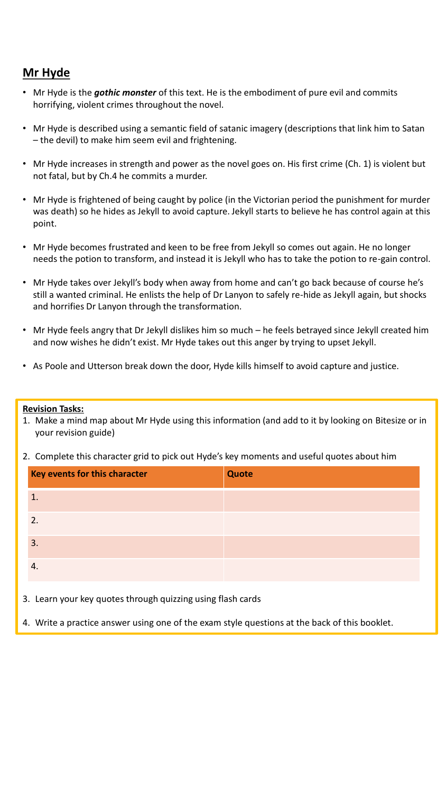# **Mr Hyde**

- Mr Hyde is the *gothic monster* of this text. He is the embodiment of pure evil and commits horrifying, violent crimes throughout the novel.
- Mr Hyde is described using a semantic field of satanic imagery (descriptions that link him to Satan – the devil) to make him seem evil and frightening.
- Mr Hyde increases in strength and power as the novel goes on. His first crime (Ch. 1) is violent but not fatal, but by Ch.4 he commits a murder.
- Mr Hyde is frightened of being caught by police (in the Victorian period the punishment for murder was death) so he hides as Jekyll to avoid capture. Jekyll starts to believe he has control again at this point.
- Mr Hyde becomes frustrated and keen to be free from Jekyll so comes out again. He no longer needs the potion to transform, and instead it is Jekyll who has to take the potion to re-gain control.
- Mr Hyde takes over Jekyll's body when away from home and can't go back because of course he's still a wanted criminal. He enlists the help of Dr Lanyon to safely re-hide as Jekyll again, but shocks and horrifies Dr Lanyon through the transformation.
- Mr Hyde feels angry that Dr Jekyll dislikes him so much he feels betrayed since Jekyll created him and now wishes he didn't exist. Mr Hyde takes out this anger by trying to upset Jekyll.
- As Poole and Utterson break down the door, Hyde kills himself to avoid capture and justice.

#### **Revision Tasks:**

- 1. Make a mind map about Mr Hyde using this information (and add to it by looking on Bitesize or in your revision guide)
- 2. Complete this character grid to pick out Hyde's key moments and useful quotes about him

| Key events for this character | <b>Quote</b> |
|-------------------------------|--------------|
|                               |              |
| 2                             |              |
| 3.                            |              |
|                               |              |

- 3. Learn your key quotes through quizzing using flash cards
- 4. Write a practice answer using one of the exam style questions at the back of this booklet.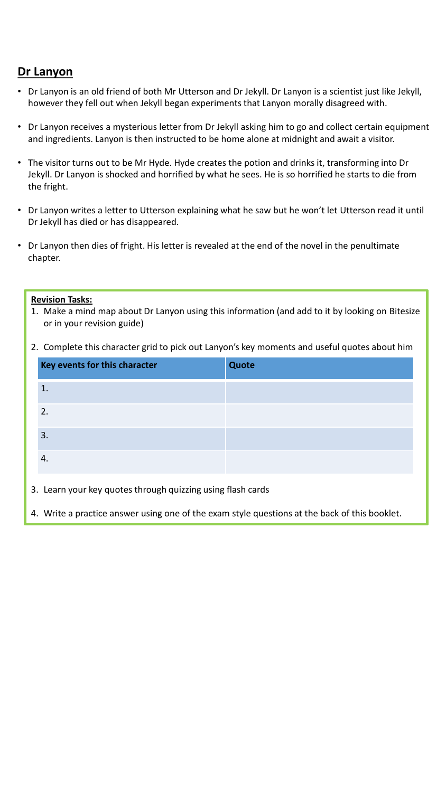# **Dr Lanyon**

- Dr Lanyon is an old friend of both Mr Utterson and Dr Jekyll. Dr Lanyon is a scientist just like Jekyll, however they fell out when Jekyll began experiments that Lanyon morally disagreed with.
- Dr Lanyon receives a mysterious letter from Dr Jekyll asking him to go and collect certain equipment and ingredients. Lanyon is then instructed to be home alone at midnight and await a visitor.
- The visitor turns out to be Mr Hyde. Hyde creates the potion and drinks it, transforming into Dr Jekyll. Dr Lanyon is shocked and horrified by what he sees. He is so horrified he starts to die from the fright.
- Dr Lanyon writes a letter to Utterson explaining what he saw but he won't let Utterson read it until Dr Jekyll has died or has disappeared.
- Dr Lanyon then dies of fright. His letter is revealed at the end of the novel in the penultimate chapter.

#### **Revision Tasks:**

- 1. Make a mind map about Dr Lanyon using this information (and add to it by looking on Bitesize or in your revision guide)
- 2. Complete this character grid to pick out Lanyon's key moments and useful quotes about him

| Key events for this character | Quote |
|-------------------------------|-------|
| 1.                            |       |
| $\overline{2}$ .              |       |
| 3.                            |       |
|                               |       |

3. Learn your key quotes through quizzing using flash cards

4. Write a practice answer using one of the exam style questions at the back of this booklet.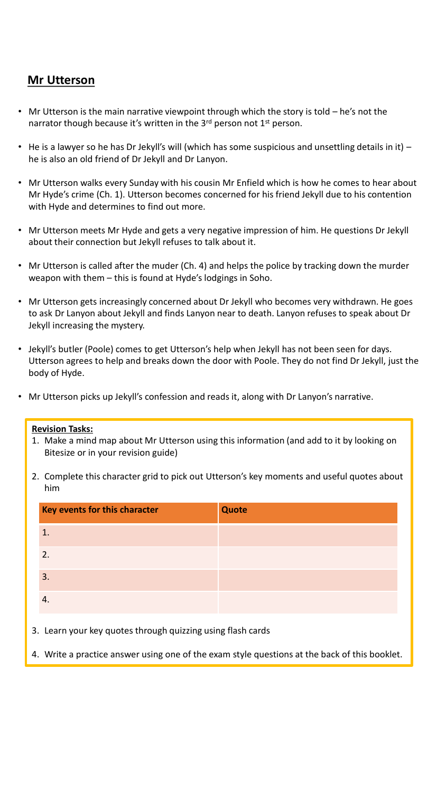# **Mr Utterson**

- Mr Utterson is the main narrative viewpoint through which the story is told he's not the narrator though because it's written in the  $3<sup>rd</sup>$  person not  $1<sup>st</sup>$  person.
- He is a lawyer so he has Dr Jekyll's will (which has some suspicious and unsettling details in it) he is also an old friend of Dr Jekyll and Dr Lanyon.
- Mr Utterson walks every Sunday with his cousin Mr Enfield which is how he comes to hear about Mr Hyde's crime (Ch. 1). Utterson becomes concerned for his friend Jekyll due to his contention with Hyde and determines to find out more.
- Mr Utterson meets Mr Hyde and gets a very negative impression of him. He questions Dr Jekyll about their connection but Jekyll refuses to talk about it.
- Mr Utterson is called after the muder (Ch. 4) and helps the police by tracking down the murder weapon with them – this is found at Hyde's lodgings in Soho.
- Mr Utterson gets increasingly concerned about Dr Jekyll who becomes very withdrawn. He goes to ask Dr Lanyon about Jekyll and finds Lanyon near to death. Lanyon refuses to speak about Dr Jekyll increasing the mystery.
- Jekyll's butler (Poole) comes to get Utterson's help when Jekyll has not been seen for days. Utterson agrees to help and breaks down the door with Poole. They do not find Dr Jekyll, just the body of Hyde.
- Mr Utterson picks up Jekyll's confession and reads it, along with Dr Lanyon's narrative.

#### **Revision Tasks:**

- 1. Make a mind map about Mr Utterson using this information (and add to it by looking on Bitesize or in your revision guide)
- 2. Complete this character grid to pick out Utterson's key moments and useful quotes about him

| Key events for this character | <b>Quote</b> |
|-------------------------------|--------------|
|                               |              |
| 2.                            |              |
| 3.                            |              |
|                               |              |

- 3. Learn your key quotes through quizzing using flash cards
- 4. Write a practice answer using one of the exam style questions at the back of this booklet.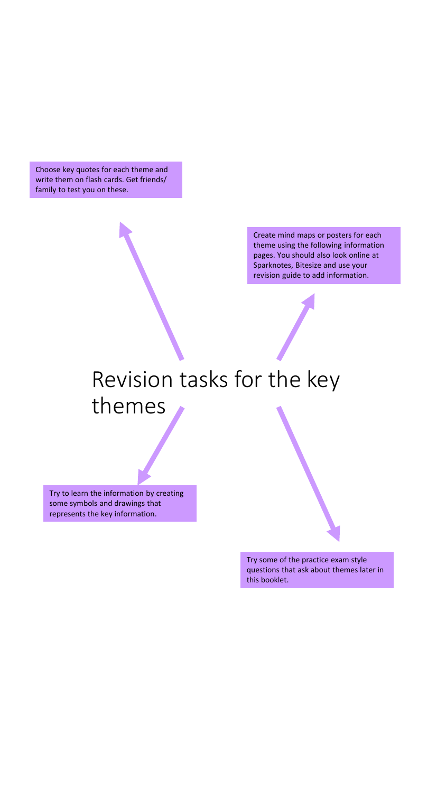Choose key quotes for each theme and write them on flash cards. Get friends/ family to test you on these.

> Create mind maps or posters for each theme using the following information pages. You should also look online at Sparknotes, Bitesize and use your revision guide to add information.

# Revision tasks for the key themes

Try to learn the information by creating some symbols and drawings that represents the key information.

> Try some of the practice exam style questions that ask about themes later in this booklet.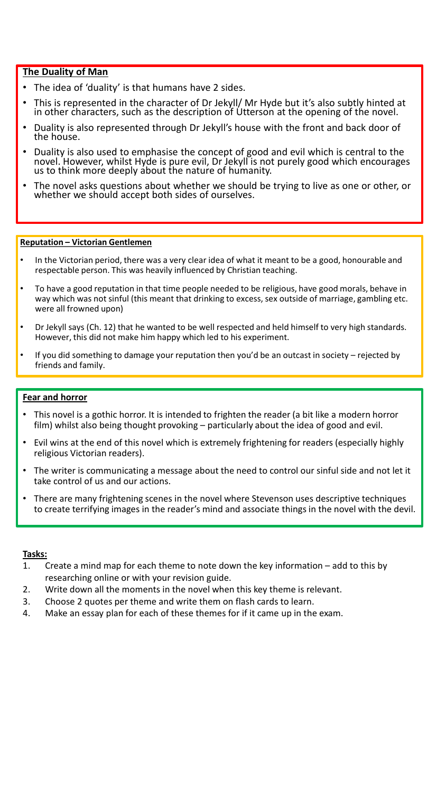## **The Duality of Man**

- The idea of 'duality' is that humans have 2 sides.
- This is represented in the character of Dr Jekyll/ Mr Hyde but it's also subtly hinted at in other characters, such as the description of Utterson at the opening of the novel.
- Duality is also represented through Dr Jekyll's house with the front and back door of the house.
- Duality is also used to emphasise the concept of good and evil which is central to the novel. However, whilst Hyde is pure evil, Dr Jekyll is not purely good which encourages us to think more deeply about the nature of humanity.
- The novel asks questions about whether we should be trying to live as one or other, or whether we should accept both sides of ourselves.

#### **Reputation – Victorian Gentlemen**

- In the Victorian period, there was a very clear idea of what it meant to be a good, honourable and respectable person. This was heavily influenced by Christian teaching.
- To have a good reputation in that time people needed to be religious, have good morals, behave in way which was not sinful (this meant that drinking to excess, sex outside of marriage, gambling etc. were all frowned upon)
- Dr Jekyll says (Ch. 12) that he wanted to be well respected and held himself to very high standards. However, this did not make him happy which led to his experiment.
- If you did something to damage your reputation then you'd be an outcast in society rejected by friends and family.

#### **Fear and horror**

- This novel is a gothic horror. It is intended to frighten the reader (a bit like a modern horror film) whilst also being thought provoking – particularly about the idea of good and evil.
- Evil wins at the end of this novel which is extremely frightening for readers (especially highly religious Victorian readers).
- The writer is communicating a message about the need to control our sinful side and not let it take control of us and our actions.
- There are many frightening scenes in the novel where Stevenson uses descriptive techniques to create terrifying images in the reader's mind and associate things in the novel with the devil.

#### **Tasks:**

- 1. Create a mind map for each theme to note down the key information add to this by researching online or with your revision guide.
- 2. Write down all the moments in the novel when this key theme is relevant.
- 3. Choose 2 quotes per theme and write them on flash cards to learn.
- 4. Make an essay plan for each of these themes for if it came up in the exam.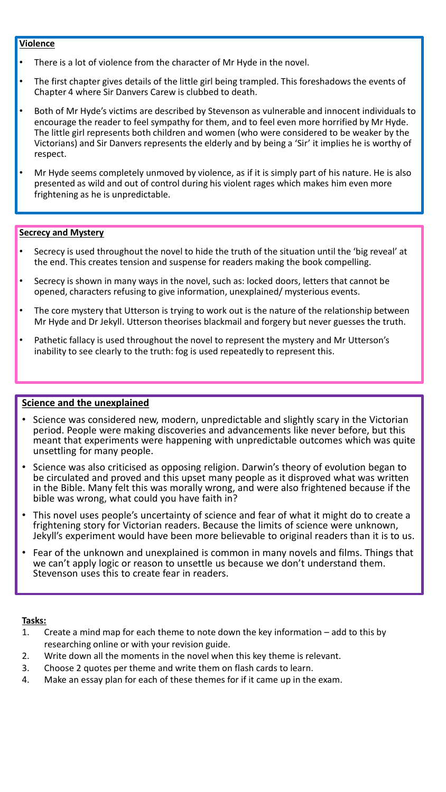#### **Violence**

- There is a lot of violence from the character of Mr Hyde in the novel.
- The first chapter gives details of the little girl being trampled. This foreshadows the events of Chapter 4 where Sir Danvers Carew is clubbed to death.
- Both of Mr Hyde's victims are described by Stevenson as vulnerable and innocent individuals to encourage the reader to feel sympathy for them, and to feel even more horrified by Mr Hyde. The little girl represents both children and women (who were considered to be weaker by the Victorians) and Sir Danvers represents the elderly and by being a 'Sir' it implies he is worthy of respect.
- Mr Hyde seems completely unmoved by violence, as if it is simply part of his nature. He is also presented as wild and out of control during his violent rages which makes him even more frightening as he is unpredictable.

#### **Secrecy and Mystery**

- Secrecy is used throughout the novel to hide the truth of the situation until the 'big reveal' at the end. This creates tension and suspense for readers making the book compelling.
- Secrecy is shown in many ways in the novel, such as: locked doors, letters that cannot be opened, characters refusing to give information, unexplained/ mysterious events.
- The core mystery that Utterson is trying to work out is the nature of the relationship between Mr Hyde and Dr Jekyll. Utterson theorises blackmail and forgery but never guesses the truth.
- Pathetic fallacy is used throughout the novel to represent the mystery and Mr Utterson's inability to see clearly to the truth: fog is used repeatedly to represent this.

## **Science and the unexplained**

- Science was considered new, modern, unpredictable and slightly scary in the Victorian period. People were making discoveries and advancements like never before, but this meant that experiments were happening with unpredictable outcomes which was quite unsettling for many people.
- Science was also criticised as opposing religion. Darwin's theory of evolution began to be circulated and proved and this upset many people as it disproved what was written in the Bible. Many felt this was morally wrong, and were also frightened because if the bible was wrong, what could you have faith in?
- This novel uses people's uncertainty of science and fear of what it might do to create a frightening story for Victorian readers. Because the limits of science were unknown, Jekyll's experiment would have been more believable to original readers than it is to us.
- Fear of the unknown and unexplained is common in many novels and films. Things that we can't apply logic or reason to unsettle us because we don't understand them. Stevenson uses this to create fear in readers.

#### **Tasks:**

- 1. Create a mind map for each theme to note down the key information add to this by researching online or with your revision guide.
- 2. Write down all the moments in the novel when this key theme is relevant.
- 3. Choose 2 quotes per theme and write them on flash cards to learn.
- 4. Make an essay plan for each of these themes for if it came up in the exam.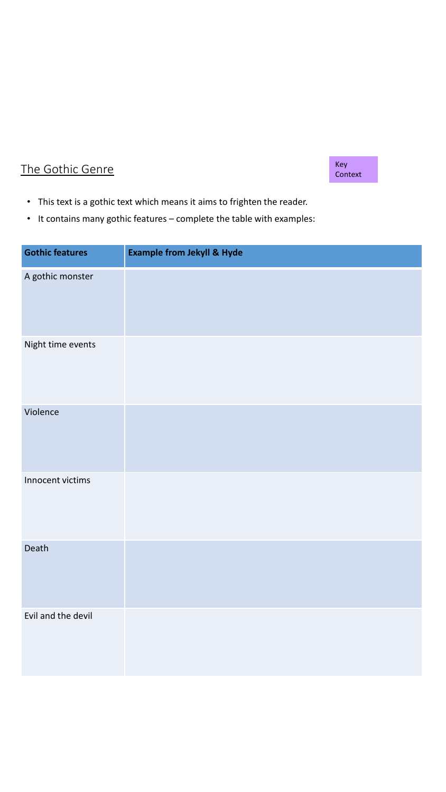# The Gothic Genre

Key Context

- This text is a gothic text which means it aims to frighten the reader.
- It contains many gothic features complete the table with examples:

| <b>Gothic features</b> | <b>Example from Jekyll &amp; Hyde</b> |
|------------------------|---------------------------------------|
| A gothic monster       |                                       |
| Night time events      |                                       |
| Violence               |                                       |
| Innocent victims       |                                       |
| Death                  |                                       |
| Evil and the devil     |                                       |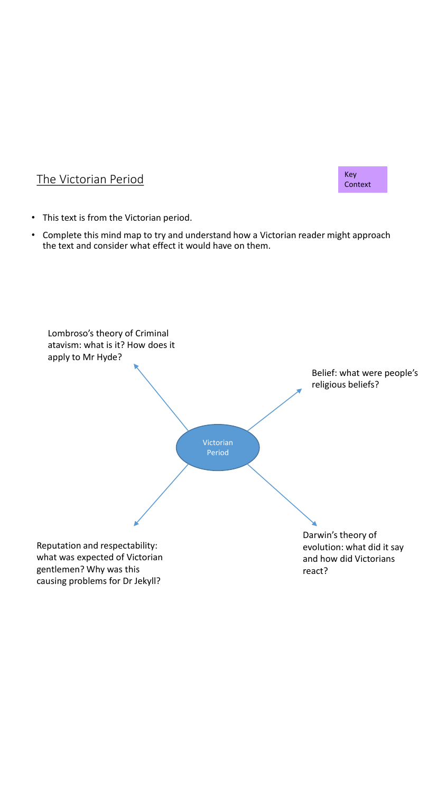



- This text is from the Victorian period.
- Complete this mind map to try and understand how a Victorian reader might approach the text and consider what effect it would have on them.

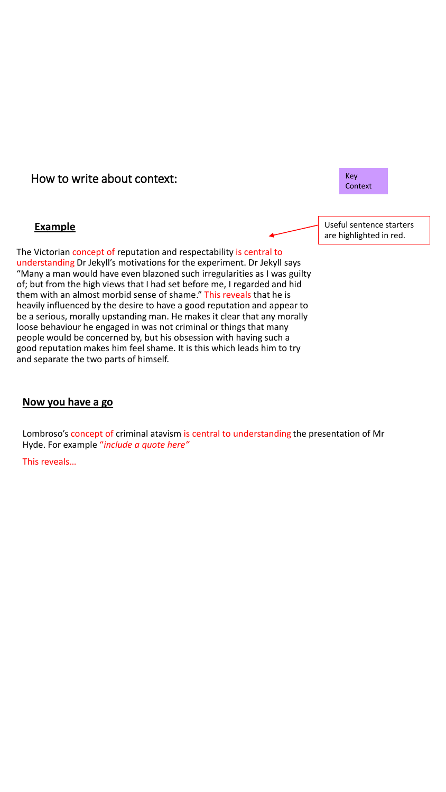

#### **Now you have a go**

Lombroso's concept of criminal atavism is central to understanding the presentation of Mr Hyde. For example "*include a quote here"* 

This reveals…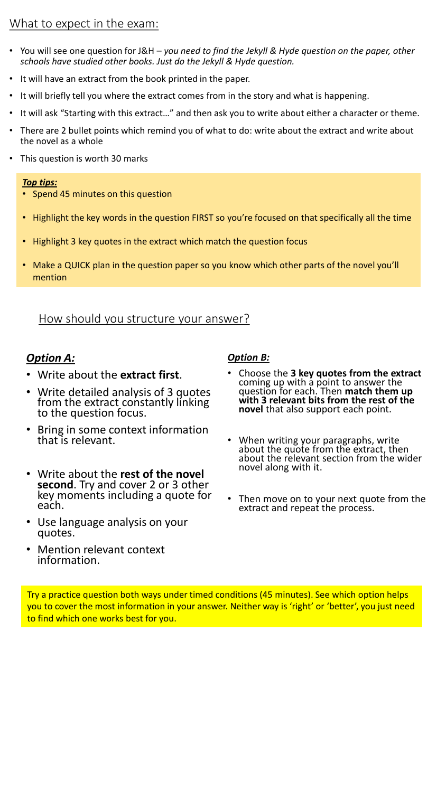# What to expect in the exam:

- You will see one question for J&H *you need to find the Jekyll & Hyde question on the paper, other schools have studied other books. Just do the Jekyll & Hyde question.*
- It will have an extract from the book printed in the paper.
- It will briefly tell you where the extract comes from in the story and what is happening.
- It will ask "Starting with this extract…" and then ask you to write about either a character or theme.
- There are 2 bullet points which remind you of what to do: write about the extract and write about the novel as a whole
- This question is worth 30 marks

#### *Top tips:*

- Spend 45 minutes on this question
- Highlight the key words in the question FIRST so you're focused on that specifically all the time
- Highlight 3 key quotes in the extract which match the question focus
- Make a QUICK plan in the question paper so you know which other parts of the novel you'll mention

## How should you structure your answer?

# *Option A:*

- Write about the **extract first**.
- Write detailed analysis of 3 quotes from the extract constantly linking to the question focus.
- Bring in some context information that is relevant.
- Write about the **rest of the novel second**. Try and cover 2 or 3 other key moments including a quote for each.
- Use language analysis on your quotes.
- Mention relevant context information.

## *Option B:*

- Choose the **3 key quotes from the extract**  coming up with a point to answer the question for each. Then **match them up with 3 relevant bits from the rest of the novel** that also support each point.
- When writing your paragraphs, write about the quote from the extract, then about the relevant section from the wider novel along with it.
- Then move on to your next quote from the extract and repeat the process.

Try a practice question both ways under timed conditions (45 minutes). See which option helps you to cover the most information in your answer. Neither way is 'right' or 'better', you just need to find which one works best for you.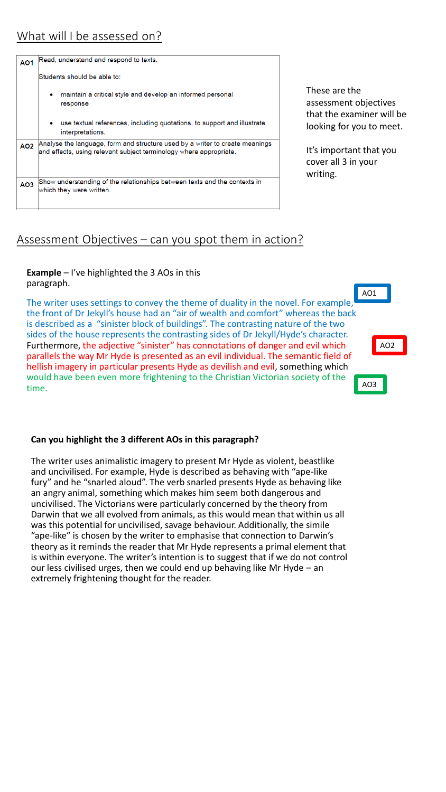# What will I be assessed on?

|                 | Read, understand and respond to texts.                                                                                                             |
|-----------------|----------------------------------------------------------------------------------------------------------------------------------------------------|
| AO <sub>1</sub> |                                                                                                                                                    |
|                 | Students should be able to:                                                                                                                        |
|                 | maintain a critical style and develop an informed personal<br>response                                                                             |
|                 | use textual references, including quotations, to support and illustrate<br>interpretations.                                                        |
| AO <sub>2</sub> | Analyse the language, form and structure used by a writer to create meanings<br>and effects, using relevant subject terminology where appropriate. |
| AO <sub>3</sub> | Show understanding of the relationships between texts and the contexts in<br>which they were written.                                              |

These are the assessment objectives that the examiner will be looking for you to meet.

It's important that you cover all 3 in your writing.

AO1

AO3

AO2

# Assessment Objectives – can you spot them in action?

### **Example** – I've highlighted the 3 AOs in this paragraph.

The writer uses settings to convey the theme of duality in the novel. For example, the front of Dr Jekyll's house had an "air of wealth and comfort" whereas the back is described as a "sinister block of buildings". The contrasting nature of the two sides of the house represents the contrasting sides of Dr Jekyll/Hyde's character. Furthermore, the adjective "sinister" has connotations of danger and evil which parallels the way Mr Hyde is presented as an evil individual. The semantic field of hellish imagery in particular presents Hyde as devilish and evil, something which would have been even more frightening to the Christian Victorian society of the time.

#### **Can you highlight the 3 different AOs in this paragraph?**

The writer uses animalistic imagery to present Mr Hyde as violent, beastlike and uncivilised. For example, Hyde is described as behaving with "ape-like fury" and he "snarled aloud". The verb snarled presents Hyde as behaving like an angry animal, something which makes him seem both dangerous and uncivilised. The Victorians were particularly concerned by the theory from Darwin that we all evolved from animals, as this would mean that within us all was this potential for uncivilised, savage behaviour. Additionally, the simile "ape-like" is chosen by the writer to emphasise that connection to Darwin's theory as it reminds the reader that Mr Hyde represents a primal element that is within everyone. The writer's intention is to suggest that if we do not control our less civilised urges, then we could end up behaving like Mr Hyde – an extremely frightening thought for the reader.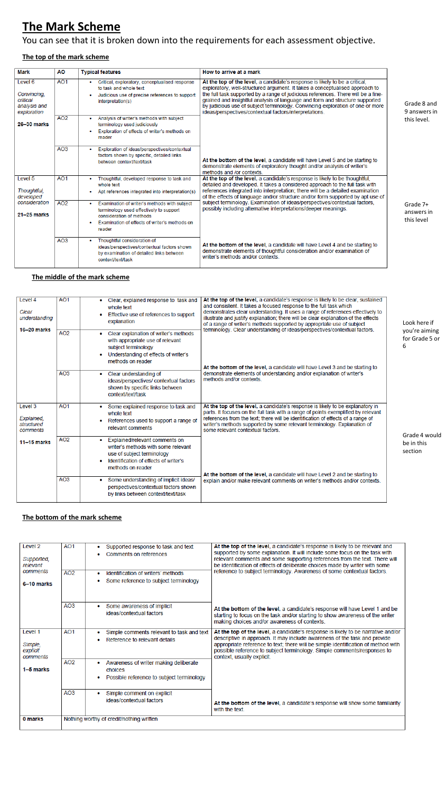# **The Mark Scheme**

### You can see that it is broken down into the requirements for each assessment objective.

#### **The top of the mark scheme**

| <b>Mark</b>                                                                  | AO              | <b>Typical features</b>                                                                                                                                                        | How to arrive at a mark                                                                                                                                                                                                                                                                                                                                                                                                                                                      |                         |
|------------------------------------------------------------------------------|-----------------|--------------------------------------------------------------------------------------------------------------------------------------------------------------------------------|------------------------------------------------------------------------------------------------------------------------------------------------------------------------------------------------------------------------------------------------------------------------------------------------------------------------------------------------------------------------------------------------------------------------------------------------------------------------------|-------------------------|
| Level <sub>6</sub><br>Convincing.<br>critical<br>analysis and<br>exploration | AO <sub>1</sub> | Critical, exploratory, conceptualised response<br>to task and whole text<br>Judicious use of precise references to support<br>interpretation(s)                                | At the top of the level, a candidate's response is likely to be a critical,<br>exploratory, well-structured argument. It takes a conceptualised approach to<br>the full task supported by a range of judicious references. There will be a fine-<br>grained and insightful analysis of language and form and structure supported<br>by judicious use of subject terminology. Convincing exploration of one or more<br>ideas/perspectives/contextual factors/interpretations. | Grad<br>9 ans           |
| 26-30 marks                                                                  | AO2             | Analysis of writer's methods with subject<br>٠<br>terminology used judiciously<br>Exploration of effects of writer's methods on<br>reader                                      |                                                                                                                                                                                                                                                                                                                                                                                                                                                                              | this le                 |
|                                                                              | AO3             | Exploration of ideas/perspectives/contextual<br>factors shown by specific, detailed links<br>between context/text/task                                                         | At the bottom of the level, a candidate will have Level 5 and be starting to<br>demonstrate elements of exploratory thought and/or analysis of writer's<br>methods and /or contexts.                                                                                                                                                                                                                                                                                         |                         |
| Level 5<br>Thoughtful,<br>developed                                          | AO <sub>1</sub> | Thoughtful, developed response to task and<br>۰<br>whole text<br>Apt references integrated into interpretation(s)                                                              | At the top of the level, a candidate's response is likely to be thoughtful,<br>detailed and developed. It takes a considered approach to the full task with<br>references integrated into interpretation; there will be a detailed examination<br>of the effects of language and/or structure and/or form supported by apt use of                                                                                                                                            |                         |
| consideration<br>21-25 marks                                                 | AO2             | Examination of writer's methods with subject<br>terminology used effectively to support<br>consideration of methods<br>Examination of effects of writer's methods on<br>reader | subject terminology. Examination of ideas/perspectives/contextual factors,<br>possibly including alternative interpretations/deeper meanings.                                                                                                                                                                                                                                                                                                                                | Grad<br>answ<br>this le |
|                                                                              | AO3             | Thoughtful consideration of<br>ideas/perspectives/contextual factors shown<br>by examination of detailed links between<br>context/text/task                                    | At the bottom of the level, a candidate will have Level 4 and be starting to<br>demonstrate elements of thoughtful consideration and/or examination of<br>writer's methods and/or contexts                                                                                                                                                                                                                                                                                   |                         |

#### **The middle of the mark scheme**

| Level 4<br>Clear<br>understanding<br>16-20 marks | AO <sub>1</sub> | Clear, explained response to task and<br>whole text<br>Effective use of references to support<br>explanation                                                           | At the top of the level, a candidate's response is likely to be clear, sustained<br>and consistent. It takes a focused response to the full task which<br>demonstrates clear understanding. It uses a range of references effectively to<br>illustrate and justify explanation; there will be clear explanation of the effects<br>of a range of writer's methods supported by appropriate use of subject<br>terminology. Clear understanding of ideas/perspectives/contextual factors. | Look here i<br>you're aimi          |
|--------------------------------------------------|-----------------|------------------------------------------------------------------------------------------------------------------------------------------------------------------------|----------------------------------------------------------------------------------------------------------------------------------------------------------------------------------------------------------------------------------------------------------------------------------------------------------------------------------------------------------------------------------------------------------------------------------------------------------------------------------------|-------------------------------------|
|                                                  | AO2             | Clear explanation of writer's methods<br>٠<br>with appropriate use of relevant<br>subject terminology<br>Understanding of effects of writer's<br>methods on reader     |                                                                                                                                                                                                                                                                                                                                                                                                                                                                                        | for Grade 5                         |
|                                                  | AO3             | Clear understanding of<br>ideas/perspectives/ contextual factors<br>shown by specific links between<br>context/text/task                                               | At the bottom of the level, a candidate will have Level 3 and be starting to<br>demonstrate elements of understanding and/or explanation of writer's<br>methods and/or contexts                                                                                                                                                                                                                                                                                                        |                                     |
| Level 3<br>Explained,<br>structured<br>comments  | AO <sub>1</sub> | Some explained response to task and<br>٠<br>whole text<br>References used to support a range of<br>relevant comments                                                   | At the top of the level, a candidate's response is likely to be explanatory in<br>parts. It focuses on the full task with a range of points exemplified by relevant<br>references from the text: there will be identification of effects of a range of<br>writer's methods supported by some relevant terminology. Explanation of<br>some relevant contextual factors.                                                                                                                 |                                     |
| 11-15 marks                                      | AO2             | Explained/relevant comments on<br>۰<br>writer's methods with some relevant<br>use of subject terminology<br>Identification of effects of writer's<br>methods on reader |                                                                                                                                                                                                                                                                                                                                                                                                                                                                                        | Grade 4 wo<br>be in this<br>section |
|                                                  | A <sub>03</sub> | Some understanding of implicit ideas/<br>perspectives/contextual factors shown<br>by links between context/text/task                                                   | At the bottom of the level, a candidate will have Level 2 and be starting to<br>explain and/or make relevant comments on writer's methods and/or contexts.                                                                                                                                                                                                                                                                                                                             |                                     |

#### **The bottom of the mark scheme**

| Level <sub>2</sub><br>Supported,<br>relevant<br>comments<br>6-10 marks | AO <sub>1</sub><br>AO2 | Supported response to task and text<br>Comments on references<br>Identification of writers' methods<br>٠<br>Some reference to subject terminology | At the top of the level, a candidate's response is likely to be relevant and<br>supported by some explanation. It will include some focus on the task with<br>relevant comments and some supporting references from the text. There will<br>be identification of effects of deliberate choices made by writer with some<br>reference to subject terminology. Awareness of some contextual factors. |
|------------------------------------------------------------------------|------------------------|---------------------------------------------------------------------------------------------------------------------------------------------------|----------------------------------------------------------------------------------------------------------------------------------------------------------------------------------------------------------------------------------------------------------------------------------------------------------------------------------------------------------------------------------------------------|
|                                                                        | AO3                    | Some awareness of implicit<br>۰<br>ideas/contextual factors                                                                                       | At the bottom of the level, a candidate's response will have Level 1 and be<br>starting to focus on the task and/or starting to show awareness of the writer<br>making choices and/or awareness of contexts.                                                                                                                                                                                       |
| Level 1<br>Simple,<br>explicit<br>comments                             | AO1                    | Simple comments relevant to task and text<br>Reference to relevant details                                                                        | At the top of the level, a candidate's response is likely to be narrative and/or<br>descriptive in approach. It may include awareness of the task and provide<br>appropriate reference to text; there will be simple identification of method with<br>possible reference to subject terminology. Simple comments/responses to<br>context, usually explicit.                                        |
| 1-5 marks                                                              | AO2                    | Awareness of writer making deliberate<br>choices<br>Possible reference to subject terminology                                                     |                                                                                                                                                                                                                                                                                                                                                                                                    |
|                                                                        | AO3                    | Simple comment on explicit<br>ideas/contextual factors                                                                                            | At the bottom of the level, a candidate's response will show some familiarity<br>with the text.                                                                                                                                                                                                                                                                                                    |
| 0 marks                                                                |                        | Nothing worthy of credit/nothing written                                                                                                          |                                                                                                                                                                                                                                                                                                                                                                                                    |

le 8 and swers in evel.

 $e$  7+ .c..<br><sub>r</sub>ers in evel

Look here if ing ,<br>or

buld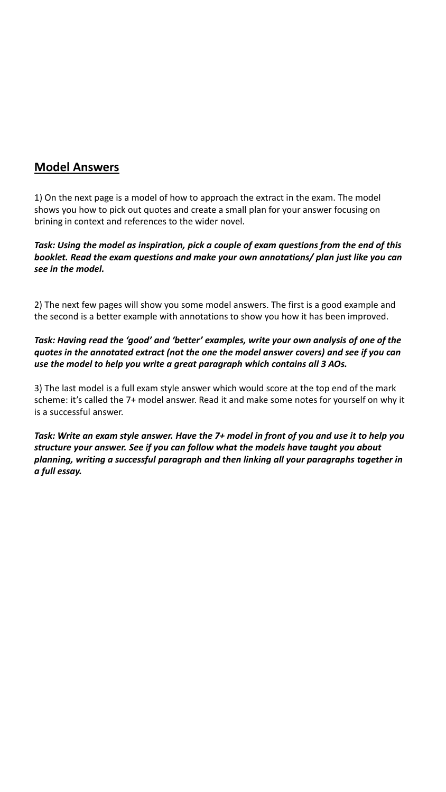# **Model Answers**

1) On the next page is a model of how to approach the extract in the exam. The model shows you how to pick out quotes and create a small plan for your answer focusing on brining in context and references to the wider novel.

*Task: Using the model as inspiration, pick a couple of exam questions from the end of this booklet. Read the exam questions and make your own annotations/ plan just like you can see in the model.* 

2) The next few pages will show you some model answers. The first is a good example and the second is a better example with annotations to show you how it has been improved.

## *Task: Having read the 'good' and 'better' examples, write your own analysis of one of the quotes in the annotated extract (not the one the model answer covers) and see if you can use the model to help you write a great paragraph which contains all 3 AOs.*

3) The last model is a full exam style answer which would score at the top end of the mark scheme: it's called the 7+ model answer. Read it and make some notes for yourself on why it is a successful answer.

*Task: Write an exam style answer. Have the 7+ model in front of you and use it to help you structure your answer. See if you can follow what the models have taught you about planning, writing a successful paragraph and then linking all your paragraphs together in a full essay.*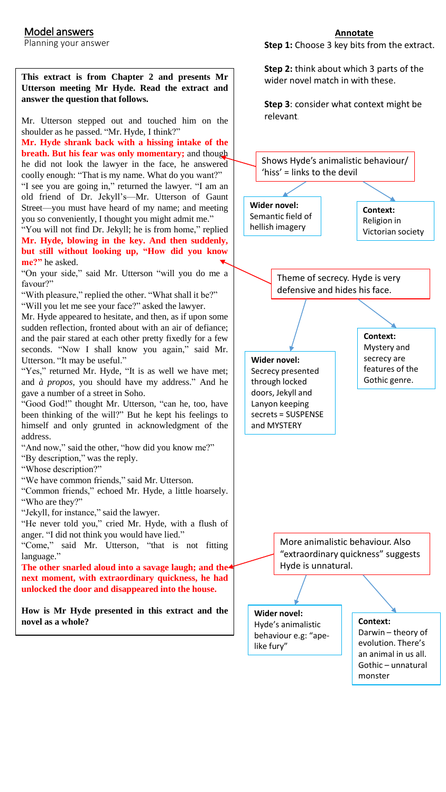**This extract is from Chapter 2 and presents Mr Utterson meeting Mr Hyde. Read the extract and answer the question that follows.**

Mr. Utterson stepped out and touched him on the shoulder as he passed. "Mr. Hyde, I think?"

**Mr. Hyde shrank back with a hissing intake of the breath. But his fear was only momentary;** and though he did not look the lawyer in the face, he answered coolly enough: "That is my name. What do you want?" "I see you are going in," returned the lawyer. "I am an old friend of Dr. Jekyll's—Mr. Utterson of Gaunt

Street—you must have heard of my name; and meeting you so conveniently, I thought you might admit me." "You will not find Dr. Jekyll; he is from home," replied

**Mr. Hyde, blowing in the key. And then suddenly, but still without looking up, "How did you know me?"** he asked.

"On your side," said Mr. Utterson "will you do me a favour?"

"With pleasure," replied the other. "What shall it be?" "Will you let me see your face?" asked the lawyer.

Mr. Hyde appeared to hesitate, and then, as if upon some sudden reflection, fronted about with an air of defiance; and the pair stared at each other pretty fixedly for a few seconds. "Now I shall know you again," said Mr. Utterson. "It may be useful."

"Yes," returned Mr. Hyde, "It is as well we have met; and *à propos*, you should have my address." And he gave a number of a street in Soho.

"Good God!" thought Mr. Utterson, "can he, too, have been thinking of the will?" But he kept his feelings to himself and only grunted in acknowledgment of the address.

"And now," said the other, "how did you know me?"

"By description," was the reply.

"Whose description?"

"We have common friends," said Mr. Utterson.

"Common friends," echoed Mr. Hyde, a little hoarsely. "Who are they?"

"Jekyll, for instance," said the lawyer.

"He never told you," cried Mr. Hyde, with a flush of anger. "I did not think you would have lied."

"Come," said Mr. Utterson, "that is not fitting language."

**The other snarled aloud into a savage laugh; and the next moment, with extraordinary quickness, he had unlocked the door and disappeared into the house.**

**How is Mr Hyde presented in this extract and the novel as a whole?**

**Step 1:** Choose 3 key bits from the extract.

**Step 2:** think about which 3 parts of the wider novel match in with these.

**Step 3**: consider what context might be relevant.

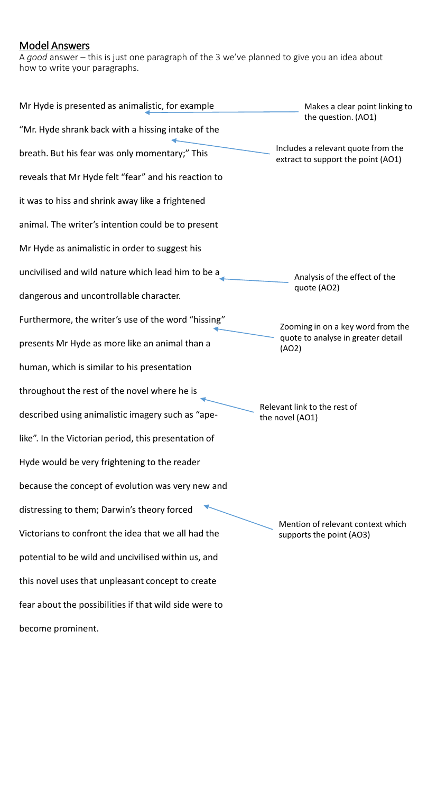## Model Answers

A *good* answer – this is just one paragraph of the 3 we've planned to give you an idea about how to write your paragraphs.

| Mr Hyde is presented as animalistic, for example       | Makes a clear point linking to                                           |
|--------------------------------------------------------|--------------------------------------------------------------------------|
| "Mr. Hyde shrank back with a hissing intake of the     | the question. (AO1)                                                      |
| breath. But his fear was only momentary;" This         | Includes a relevant quote from the<br>extract to support the point (AO1) |
| reveals that Mr Hyde felt "fear" and his reaction to   |                                                                          |
| it was to hiss and shrink away like a frightened       |                                                                          |
| animal. The writer's intention could be to present     |                                                                          |
| Mr Hyde as animalistic in order to suggest his         |                                                                          |
| uncivilised and wild nature which lead him to be a     | Analysis of the effect of the                                            |
| dangerous and uncontrollable character.                | quote (AO2)                                                              |
| Furthermore, the writer's use of the word "hissing"    | Zooming in on a key word from the                                        |
| presents Mr Hyde as more like an animal than a         | quote to analyse in greater detail<br>(AO2)                              |
| human, which is similar to his presentation            |                                                                          |
| throughout the rest of the novel where he is           |                                                                          |
| described using animalistic imagery such as "ape-      | Relevant link to the rest of<br>the novel (AO1)                          |
| like". In the Victorian period, this presentation of   |                                                                          |
| Hyde would be very frightening to the reader           |                                                                          |
| because the concept of evolution was very new and      |                                                                          |
| distressing to them; Darwin's theory forced            |                                                                          |
| Victorians to confront the idea that we all had the    | Mention of relevant context which<br>supports the point (AO3)            |
| potential to be wild and uncivilised within us, and    |                                                                          |
| this novel uses that unpleasant concept to create      |                                                                          |
| fear about the possibilities if that wild side were to |                                                                          |
| become prominent.                                      |                                                                          |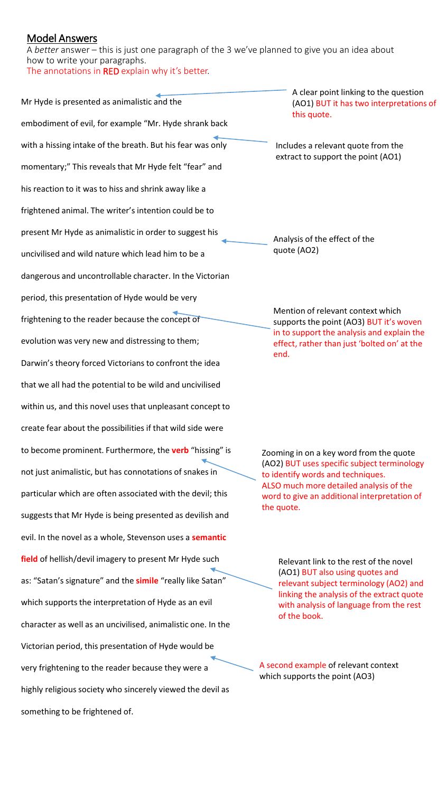## Model Answers

A *better* answer – this is just one paragraph of the 3 we've planned to give you an idea about how to write your paragraphs.

The annotations in RED explain why it's better.

Mr Hyde is presented as animalistic and the embodiment of evil, for example "Mr. Hyde shrank back with a hissing intake of the breath. But his fear was only momentary;" This reveals that Mr Hyde felt "fear" and his reaction to it was to hiss and shrink away like a frightened animal. The writer's intention could be to present Mr Hyde as animalistic in order to suggest his uncivilised and wild nature which lead him to be a dangerous and uncontrollable character. In the Victorian period, this presentation of Hyde would be very frightening to the reader because the concept of evolution was very new and distressing to them; Darwin's theory forced Victorians to confront the idea that we all had the potential to be wild and uncivilised within us, and this novel uses that unpleasant concept to create fear about the possibilities if that wild side were to become prominent. Furthermore, the **verb** "hissing" is not just animalistic, but has connotations of snakes in particular which are often associated with the devil; this suggests that Mr Hyde is being presented as devilish and evil. In the novel as a whole, Stevenson uses a **semantic field** of hellish/devil imagery to present Mr Hyde such as: "Satan's signature" and the **simile** "really like Satan" which supports the interpretation of Hyde as an evil character as well as an uncivilised, animalistic one. In the Victorian period, this presentation of Hyde would be very frightening to the reader because they were a highly religious society who sincerely viewed the devil as something to be frightened of. A clear point linking to the question (AO1) BUT it has two interpretations of this quote. Includes a relevant quote from the extract to support the point (AO1) Mention of relevant context which supports the point (AO3) BUT it's woven in to support the analysis and explain the effect, rather than just 'bolted on' at the end. Analysis of the effect of the quote (AO2) Zooming in on a key word from the quote (AO2) BUT uses specific subject terminology to identify words and techniques. ALSO much more detailed analysis of the word to give an additional interpretation of the quote. Relevant link to the rest of the novel (AO1) BUT also using quotes and relevant subject terminology (AO2) and linking the analysis of the extract quote with analysis of language from the rest of the book. A second example of relevant context which supports the point (AO3)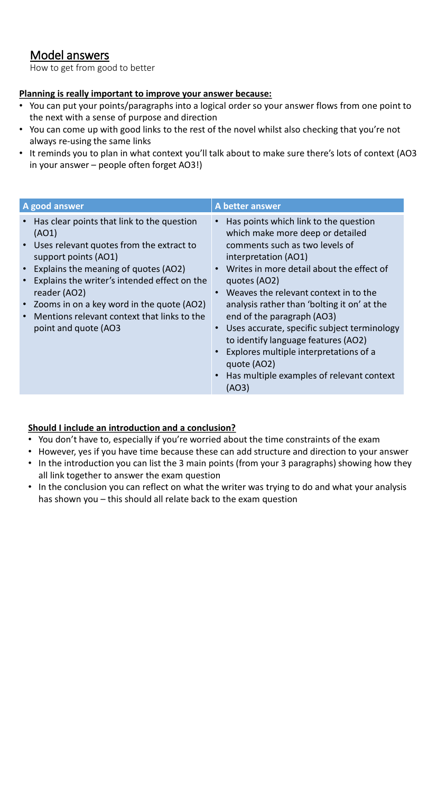# Model answers

How to get from good to better

## **Planning is really important to improve your answer because:**

- You can put your points/paragraphs into a logical order so your answer flows from one point to the next with a sense of purpose and direction
- You can come up with good links to the rest of the novel whilst also checking that you're not always re-using the same links
- It reminds you to plan in what context you'll talk about to make sure there's lots of context (AO3 in your answer – people often forget AO3!)

| A good answer                                                                                                                                                                                                                                                                                                                                                    | A better answer                                                                                                                                                                                                                                                                                                                                                                                                                                                                                                             |
|------------------------------------------------------------------------------------------------------------------------------------------------------------------------------------------------------------------------------------------------------------------------------------------------------------------------------------------------------------------|-----------------------------------------------------------------------------------------------------------------------------------------------------------------------------------------------------------------------------------------------------------------------------------------------------------------------------------------------------------------------------------------------------------------------------------------------------------------------------------------------------------------------------|
| Has clear points that link to the question<br>(AO1)<br>Uses relevant quotes from the extract to<br>$\bullet$<br>support points (AO1)<br>Explains the meaning of quotes (AO2)<br>Explains the writer's intended effect on the<br>reader (AO2)<br>Zooms in on a key word in the quote (AO2)<br>Mentions relevant context that links to the<br>point and quote (AO3 | Has points which link to the question<br>which make more deep or detailed<br>comments such as two levels of<br>interpretation (AO1)<br>Writes in more detail about the effect of<br>quotes (AO2)<br>Weaves the relevant context in to the<br>analysis rather than 'bolting it on' at the<br>end of the paragraph (AO3)<br>Uses accurate, specific subject terminology<br>to identify language features (AO2)<br>Explores multiple interpretations of a<br>quote (AO2)<br>Has multiple examples of relevant context<br>(AO3) |

## **Should I include an introduction and a conclusion?**

- You don't have to, especially if you're worried about the time constraints of the exam
- However, yes if you have time because these can add structure and direction to your answer
- In the introduction you can list the 3 main points (from your 3 paragraphs) showing how they all link together to answer the exam question
- In the conclusion you can reflect on what the writer was trying to do and what your analysis has shown you – this should all relate back to the exam question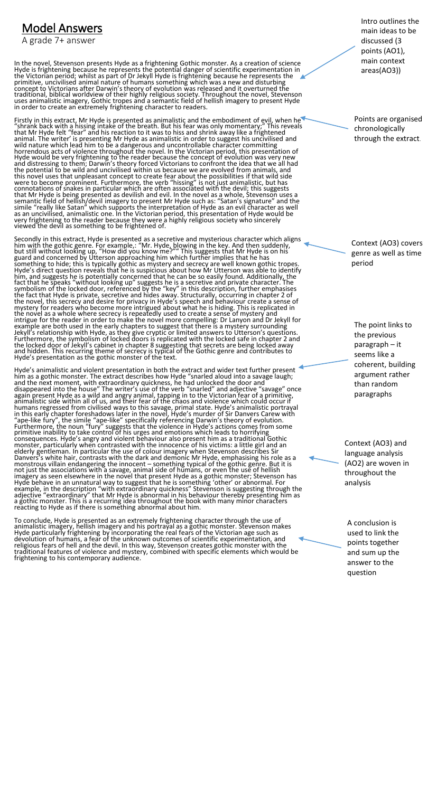# Model Answers

A grade 7+ answer

In the novel, Stevenson presents Hyde as a frightening Gothic monster. As a creation of science Hyde is frightening because he represents the potential danger of science the Victorian period; whilst as part of Dr Jekyll Hy

Firstly in this extract, Mr Hyde is presented as animalistic and the embodiment of evil, when he<br>"shrank back with a hissing intake of the breath. But his fear was only momentary;" This reveals<br>that Mr Hyde felt "fear" and

Secondly in this extract, Hyde is presented as a secretive and mysterious character which aligns<br>him with the gothic genre. For example, "Mr. Hyde, blowing in the key. And then suddenly,<br>but still without looking up, "How

Hydé's animalistic and violent presentation in both the extract and wider text further present and the next moment, with extract describes how Hyde "snarled aloud into a savage laugh, and the next moment, with extraordinar

To conclude, Hyde is presented as an extremely frightening character through the use of animalistic imagery, hellish imagery and his portrayal as a gothic monster. Stevenson makes Hyde particularly frightening by incorpora

Intro outlines the main ideas to be discussed (3 points (AO1), main context areas(AO3))

Points are organised chronologically through the extract.

Context (AO3) covers genre as well as time period

The point links to the previous paragraph – it seems like a coherent, building argument rather than random paragraphs

Context (AO3) and language analysis (AO2) are woven in throughout the analysis

A conclusion is used to link the points together and sum up the answer to the question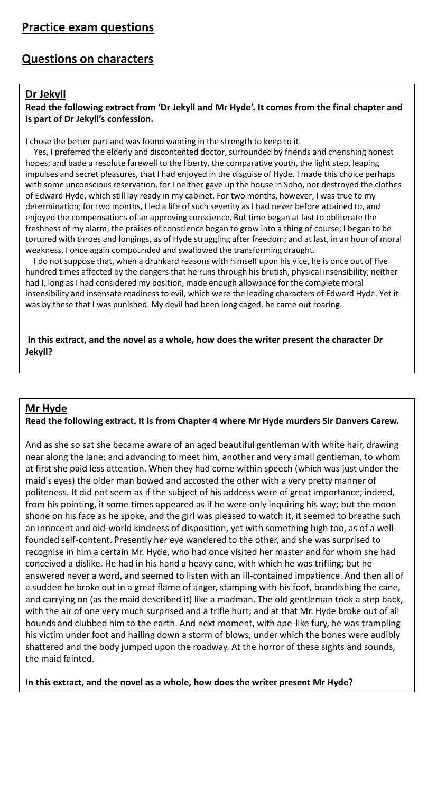# **Questions on characters**

## **Dr Jekyll**

## **Read the following extract from 'Dr Jekyll and Mr Hyde'. It comes from the final chapter and is part of Dr Jekyll's confession.**

I chose the better part and was found wanting in the strength to keep to it.

Yes, I preferred the elderly and discontented doctor, surrounded by friends and cherishing honest hopes; and bade a resolute farewell to the liberty, the comparative youth, the light step, leaping impulses and secret pleasures, that I had enjoyed in the disguise of Hyde. I made this choice perhaps with some unconscious reservation, for I neither gave up the house in Soho, nor destroyed the clothes of Edward Hyde, which still lay ready in my cabinet. For two months, however, I was true to my determination; for two months, I led a life of such severity as I had never before attained to, and enjoyed the compensations of an approving conscience. But time began at last to obliterate the freshness of my alarm; the praises of conscience began to grow into a thing of course; I began to be tortured with throes and longings, as of Hyde struggling after freedom; and at last, in an hour of moral weakness, I once again compounded and swallowed the transforming draught.

I do not suppose that, when a drunkard reasons with himself upon his vice, he is once out of five hundred times affected by the dangers that he runs through his brutish, physical insensibility; neither had I, long as I had considered my position, made enough allowance for the complete moral insensibility and insensate readiness to evil, which were the leading characters of Edward Hyde. Yet it was by these that I was punished. My devil had been long caged, he came out roaring.

**In this extract, and the novel as a whole, how does the writer present the character Dr Jekyll?** 

#### **Mr Hyde**

#### **Read the following extract. It is from Chapter 4 where Mr Hyde murders Sir Danvers Carew.**

And as she so sat she became aware of an aged beautiful gentleman with white hair, drawing near along the lane; and advancing to meet him, another and very small gentleman, to whom at first she paid less attention. When they had come within speech (which was just under the maid's eyes) the older man bowed and accosted the other with a very pretty manner of politeness. It did not seem as if the subject of his address were of great importance; indeed, from his pointing, it some times appeared as if he were only inquiring his way; but the moon shone on his face as he spoke, and the girl was pleased to watch it, it seemed to breathe such an innocent and old-world kindness of disposition, yet with something high too, as of a wellfounded self-content. Presently her eye wandered to the other, and she was surprised to recognise in him a certain Mr. Hyde, who had once visited her master and for whom she had conceived a dislike. He had in his hand a heavy cane, with which he was trifling; but he answered never a word, and seemed to listen with an ill-contained impatience. And then all of a sudden he broke out in a great flame of anger, stamping with his foot, brandishing the cane, and carrying on (as the maid described it) like a madman. The old gentleman took a step back, with the air of one very much surprised and a trifle hurt; and at that Mr. Hyde broke out of all bounds and clubbed him to the earth. And next moment, with ape-like fury, he was trampling his victim under foot and hailing down a storm of blows, under which the bones were audibly shattered and the body jumped upon the roadway. At the horror of these sights and sounds, the maid fainted.

**In this extract, and the novel as a whole, how does the writer present Mr Hyde?**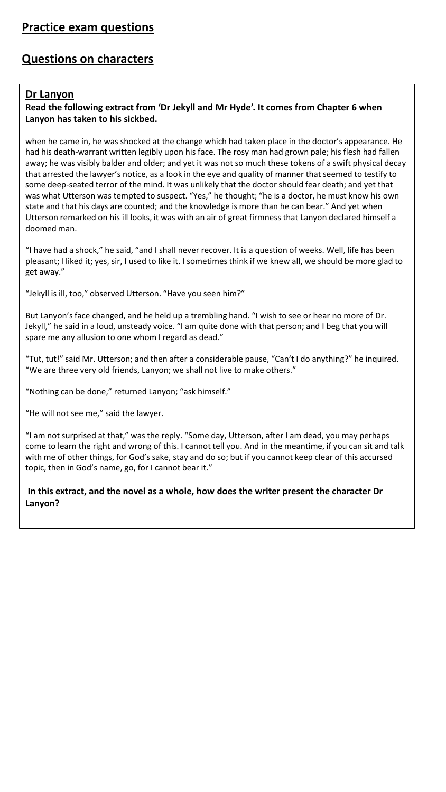# **Questions on characters**

## **Dr Lanyon**

## **Read the following extract from 'Dr Jekyll and Mr Hyde'. It comes from Chapter 6 when Lanyon has taken to his sickbed.**

when he came in, he was shocked at the change which had taken place in the doctor's appearance. He had his death-warrant written legibly upon his face. The rosy man had grown pale; his flesh had fallen away; he was visibly balder and older; and yet it was not so much these tokens of a swift physical decay that arrested the lawyer's notice, as a look in the eye and quality of manner that seemed to testify to some deep-seated terror of the mind. It was unlikely that the doctor should fear death; and yet that was what Utterson was tempted to suspect. "Yes," he thought; "he is a doctor, he must know his own state and that his days are counted; and the knowledge is more than he can bear." And yet when Utterson remarked on his ill looks, it was with an air of great firmness that Lanyon declared himself a doomed man.

"I have had a shock," he said, "and I shall never recover. It is a question of weeks. Well, life has been pleasant; I liked it; yes, sir, I used to like it. I sometimes think if we knew all, we should be more glad to get away."

"Jekyll is ill, too," observed Utterson. "Have you seen him?"

But Lanyon's face changed, and he held up a trembling hand. "I wish to see or hear no more of Dr. Jekyll," he said in a loud, unsteady voice. "I am quite done with that person; and I beg that you will spare me any allusion to one whom I regard as dead."

"Tut, tut!" said Mr. Utterson; and then after a considerable pause, "Can't I do anything?" he inquired. "We are three very old friends, Lanyon; we shall not live to make others."

"Nothing can be done," returned Lanyon; "ask himself."

"He will not see me," said the lawyer.

"I am not surprised at that," was the reply. "Some day, Utterson, after I am dead, you may perhaps come to learn the right and wrong of this. I cannot tell you. And in the meantime, if you can sit and talk with me of other things, for God's sake, stay and do so; but if you cannot keep clear of this accursed topic, then in God's name, go, for I cannot bear it."

**In this extract, and the novel as a whole, how does the writer present the character Dr Lanyon?**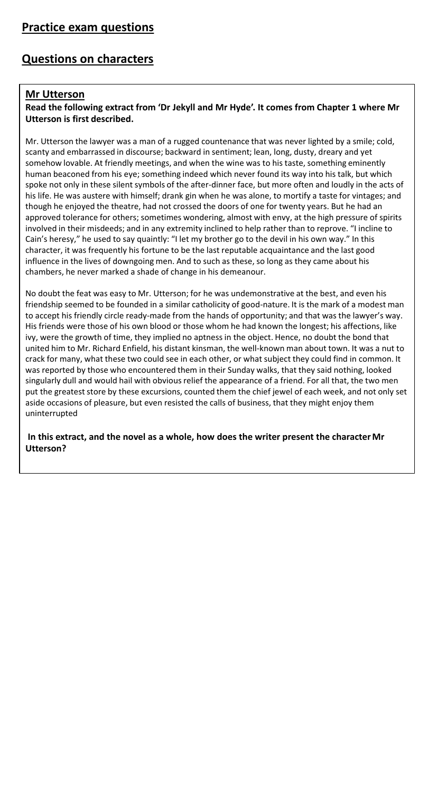# **Questions on characters**

## **Mr Utterson**

## **Read the following extract from 'Dr Jekyll and Mr Hyde'. It comes from Chapter 1 where Mr Utterson is first described.**

Mr. Utterson the lawyer was a man of a rugged countenance that was never lighted by a smile; cold, scanty and embarrassed in discourse; backward in sentiment; lean, long, dusty, dreary and yet somehow lovable. At friendly meetings, and when the wine was to his taste, something eminently human beaconed from his eye; something indeed which never found its way into his talk, but which spoke not only in these silent symbols of the after-dinner face, but more often and loudly in the acts of his life. He was austere with himself; drank gin when he was alone, to mortify a taste for vintages; and though he enjoyed the theatre, had not crossed the doors of one for twenty years. But he had an approved tolerance for others; sometimes wondering, almost with envy, at the high pressure of spirits involved in their misdeeds; and in any extremity inclined to help rather than to reprove. "I incline to Cain's heresy," he used to say quaintly: "I let my brother go to the devil in his own way." In this character, it was frequently his fortune to be the last reputable acquaintance and the last good influence in the lives of downgoing men. And to such as these, so long as they came about his chambers, he never marked a shade of change in his demeanour.

No doubt the feat was easy to Mr. Utterson; for he was undemonstrative at the best, and even his friendship seemed to be founded in a similar catholicity of good-nature. It is the mark of a modest man to accept his friendly circle ready-made from the hands of opportunity; and that was the lawyer's way. His friends were those of his own blood or those whom he had known the longest; his affections, like ivy, were the growth of time, they implied no aptness in the object. Hence, no doubt the bond that united him to Mr. Richard Enfield, his distant kinsman, the well-known man about town. It was a nut to crack for many, what these two could see in each other, or what subject they could find in common. It was reported by those who encountered them in their Sunday walks, that they said nothing, looked singularly dull and would hail with obvious relief the appearance of a friend. For all that, the two men put the greatest store by these excursions, counted them the chief jewel of each week, and not only set aside occasions of pleasure, but even resisted the calls of business, that they might enjoy them uninterrupted

**In this extract, and the novel as a whole, how does the writer present the character Mr Utterson?**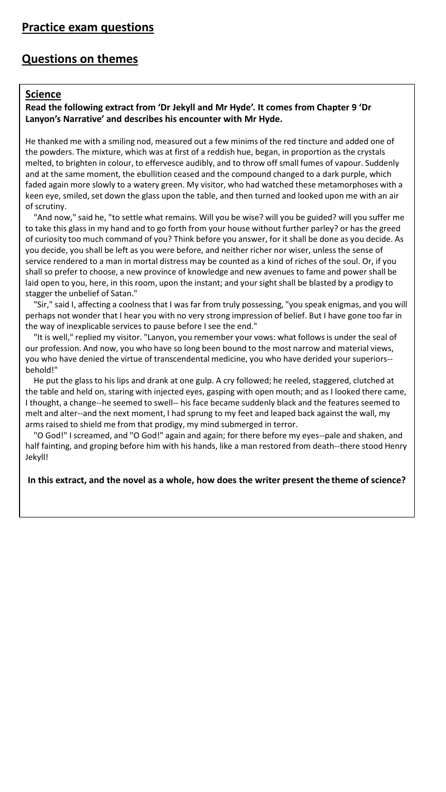#### **Science**

### **Read the following extract from 'Dr Jekyll and Mr Hyde'. It comes from Chapter 9 'Dr Lanyon's Narrative' and describes his encounter with Mr Hyde.**

He thanked me with a smiling nod, measured out a few minims of the red tincture and added one of the powders. The mixture, which was at first of a reddish hue, began, in proportion as the crystals melted, to brighten in colour, to effervesce audibly, and to throw off small fumes of vapour. Suddenly and at the same moment, the ebullition ceased and the compound changed to a dark purple, which faded again more slowly to a watery green. My visitor, who had watched these metamorphoses with a keen eye, smiled, set down the glass upon the table, and then turned and looked upon me with an air of scrutiny.

"And now," said he, "to settle what remains. Will you be wise? will you be guided? will you suffer me to take this glass in my hand and to go forth from your house without further parley? or has the greed of curiosity too much command of you? Think before you answer, for it shall be done as you decide. As you decide, you shall be left as you were before, and neither richer nor wiser, unless the sense of service rendered to a man in mortal distress may be counted as a kind of riches of the soul. Or, if you shall so prefer to choose, a new province of knowledge and new avenues to fame and power shall be laid open to you, here, in this room, upon the instant; and your sight shall be blasted by a prodigy to stagger the unbelief of Satan."

"Sir," said I, affecting a coolness that I was far from truly possessing, "you speak enigmas, and you will perhaps not wonder that I hear you with no very strong impression of belief. But I have gone too far in the way of inexplicable services to pause before I see the end."

"It is well," replied my visitor. "Lanyon, you remember your vows: what follows is under the seal of our profession. And now, you who have so long been bound to the most narrow and material views, you who have denied the virtue of transcendental medicine, you who have derided your superiors- behold!"

He put the glass to his lips and drank at one gulp. A cry followed; he reeled, staggered, clutched at the table and held on, staring with injected eyes, gasping with open mouth; and as I looked there came, I thought, a change--he seemed to swell-- his face became suddenly black and the features seemed to melt and alter--and the next moment, I had sprung to my feet and leaped back against the wall, my arms raised to shield me from that prodigy, my mind submerged in terror.

"O God!" I screamed, and "O God!" again and again; for there before my eyes--pale and shaken, and half fainting, and groping before him with his hands, like a man restored from death--there stood Henry Jekyll!

#### **In this extract, and the novel as a whole, how does the writer present the theme of science?**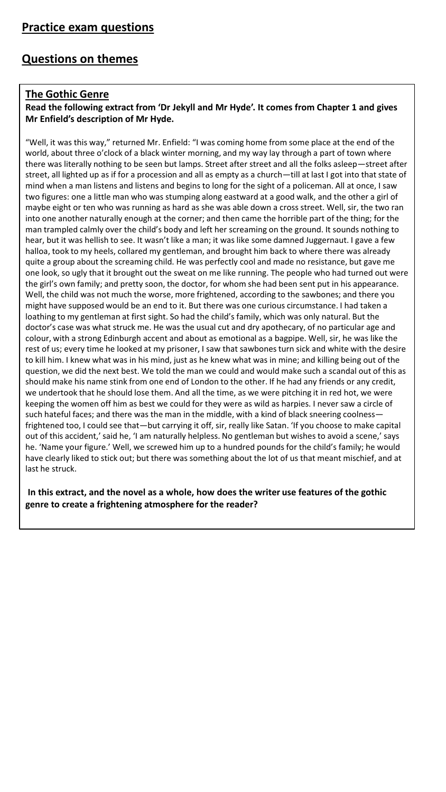## **The Gothic Genre**

## **Read the following extract from 'Dr Jekyll and Mr Hyde'. It comes from Chapter 1 and gives Mr Enfield's description of Mr Hyde.**

"Well, it was this way," returned Mr. Enfield: "I was coming home from some place at the end of the world, about three o'clock of a black winter morning, and my way lay through a part of town where there was literally nothing to be seen but lamps. Street after street and all the folks asleep—street after street, all lighted up as if for a procession and all as empty as a church—till at last I got into that state of mind when a man listens and listens and begins to long for the sight of a policeman. All at once, I saw two figures: one a little man who was stumping along eastward at a good walk, and the other a girl of maybe eight or ten who was running as hard as she was able down a cross street. Well, sir, the two ran into one another naturally enough at the corner; and then came the horrible part of the thing; for the man trampled calmly over the child's body and left her screaming on the ground. It sounds nothing to hear, but it was hellish to see. It wasn't like a man; it was like some damned Juggernaut. I gave a few halloa, took to my heels, collared my gentleman, and brought him back to where there was already quite a group about the screaming child. He was perfectly cool and made no resistance, but gave me one look, so ugly that it brought out the sweat on me like running. The people who had turned out were the girl's own family; and pretty soon, the doctor, for whom she had been sent put in his appearance. Well, the child was not much the worse, more frightened, according to the sawbones; and there you might have supposed would be an end to it. But there was one curious circumstance. I had taken a loathing to my gentleman at first sight. So had the child's family, which was only natural. But the doctor's case was what struck me. He was the usual cut and dry apothecary, of no particular age and colour, with a strong Edinburgh accent and about as emotional as a bagpipe. Well, sir, he was like the rest of us; every time he looked at my prisoner, I saw that sawbones turn sick and white with the desire to kill him. I knew what was in his mind, just as he knew what was in mine; and killing being out of the question, we did the next best. We told the man we could and would make such a scandal out of this as should make his name stink from one end of London to the other. If he had any friends or any credit, we undertook that he should lose them. And all the time, as we were pitching it in red hot, we were keeping the women off him as best we could for they were as wild as harpies. I never saw a circle of such hateful faces; and there was the man in the middle, with a kind of black sneering coolness frightened too, I could see that—but carrying it off, sir, really like Satan. 'If you choose to make capital out of this accident,' said he, 'I am naturally helpless. No gentleman but wishes to avoid a scene,' says he. 'Name your figure.' Well, we screwed him up to a hundred pounds for the child's family; he would have clearly liked to stick out; but there was something about the lot of us that meant mischief, and at last he struck.

**In this extract, and the novel as a whole, how does the writer use features of the gothic genre to create a frightening atmosphere for the reader?**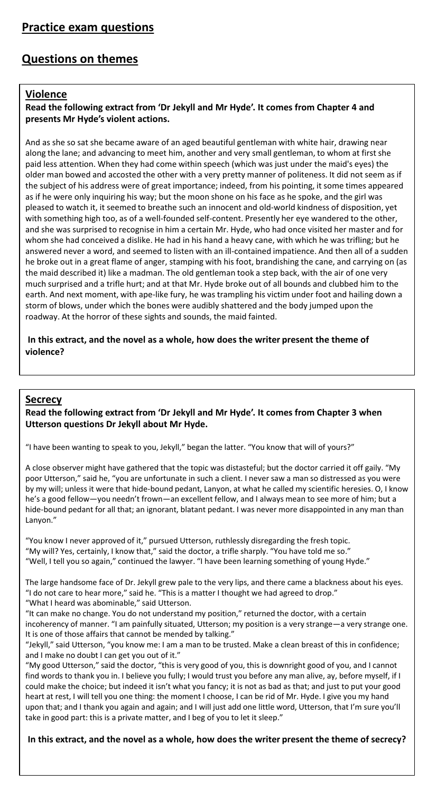## **Violence**

## **Read the following extract from 'Dr Jekyll and Mr Hyde'. It comes from Chapter 4 and presents Mr Hyde's violent actions.**

And as she so sat she became aware of an aged beautiful gentleman with white hair, drawing near along the lane; and advancing to meet him, another and very small gentleman, to whom at first she paid less attention. When they had come within speech (which was just under the maid's eyes) the older man bowed and accosted the other with a very pretty manner of politeness. It did not seem as if the subject of his address were of great importance; indeed, from his pointing, it some times appeared as if he were only inquiring his way; but the moon shone on his face as he spoke, and the girl was pleased to watch it, it seemed to breathe such an innocent and old-world kindness of disposition, yet with something high too, as of a well-founded self-content. Presently her eye wandered to the other, and she was surprised to recognise in him a certain Mr. Hyde, who had once visited her master and for whom she had conceived a dislike. He had in his hand a heavy cane, with which he was trifling; but he answered never a word, and seemed to listen with an ill-contained impatience. And then all of a sudden he broke out in a great flame of anger, stamping with his foot, brandishing the cane, and carrying on (as the maid described it) like a madman. The old gentleman took a step back, with the air of one very much surprised and a trifle hurt; and at that Mr. Hyde broke out of all bounds and clubbed him to the earth. And next moment, with ape-like fury, he was trampling his victim under foot and hailing down a storm of blows, under which the bones were audibly shattered and the body jumped upon the roadway. At the horror of these sights and sounds, the maid fainted.

#### **In this extract, and the novel as a whole, how does the writer present the theme of violence?**

#### **Secrecy**

#### **Read the following extract from 'Dr Jekyll and Mr Hyde'. It comes from Chapter 3 when Utterson questions Dr Jekyll about Mr Hyde.**

"I have been wanting to speak to you, Jekyll," began the latter. "You know that will of yours?"

A close observer might have gathered that the topic was distasteful; but the doctor carried it off gaily. "My poor Utterson," said he, "you are unfortunate in such a client. I never saw a man so distressed as you were by my will; unless it were that hide-bound pedant, Lanyon, at what he called my scientific heresies. O, I know he's a good fellow—you needn't frown—an excellent fellow, and I always mean to see more of him; but a hide-bound pedant for all that; an ignorant, blatant pedant. I was never more disappointed in any man than Lanyon."

"You know I never approved of it," pursued Utterson, ruthlessly disregarding the fresh topic. "My will? Yes, certainly, I know that," said the doctor, a trifle sharply. "You have told me so." "Well, I tell you so again," continued the lawyer. "I have been learning something of young Hyde."

The large handsome face of Dr. Jekyll grew pale to the very lips, and there came a blackness about his eyes. "I do not care to hear more," said he. "This is a matter I thought we had agreed to drop." "What I heard was abominable," said Utterson.

"It can make no change. You do not understand my position," returned the doctor, with a certain incoherency of manner. "I am painfully situated, Utterson; my position is a very strange—a very strange one. It is one of those affairs that cannot be mended by talking."

"Jekyll," said Utterson, "you know me: I am a man to be trusted. Make a clean breast of this in confidence; and I make no doubt I can get you out of it."

"My good Utterson," said the doctor, "this is very good of you, this is downright good of you, and I cannot find words to thank you in. I believe you fully; I would trust you before any man alive, ay, before myself, if I could make the choice; but indeed it isn't what you fancy; it is not as bad as that; and just to put your good heart at rest, I will tell you one thing: the moment I choose, I can be rid of Mr. Hyde. I give you my hand upon that; and I thank you again and again; and I will just add one little word, Utterson, that I'm sure you'll take in good part: this is a private matter, and I beg of you to let it sleep."

**In this extract, and the novel as a whole, how does the writer present the theme of secrecy?**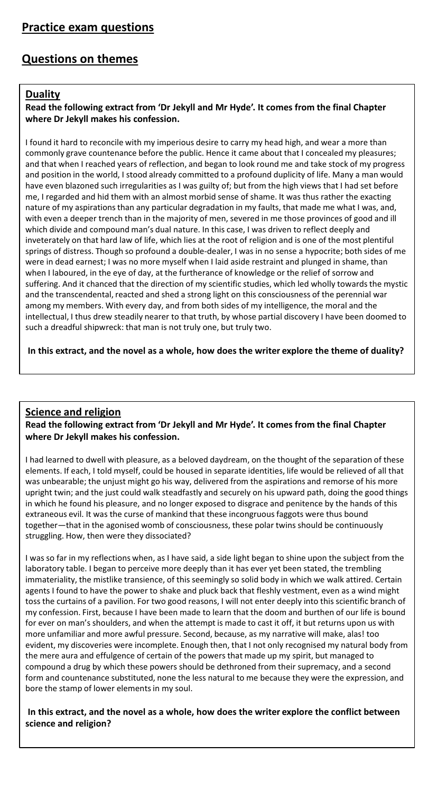## **Duality**

## **Read the following extract from 'Dr Jekyll and Mr Hyde'. It comes from the final Chapter where Dr Jekyll makes his confession.**

I found it hard to reconcile with my imperious desire to carry my head high, and wear a more than commonly grave countenance before the public. Hence it came about that I concealed my pleasures; and that when I reached years of reflection, and began to look round me and take stock of my progress and position in the world, I stood already committed to a profound duplicity of life. Many a man would have even blazoned such irregularities as I was guilty of; but from the high views that I had set before me, I regarded and hid them with an almost morbid sense of shame. It was thus rather the exacting nature of my aspirations than any particular degradation in my faults, that made me what I was, and, with even a deeper trench than in the majority of men, severed in me those provinces of good and ill which divide and compound man's dual nature. In this case, I was driven to reflect deeply and inveterately on that hard law of life, which lies at the root of religion and is one of the most plentiful springs of distress. Though so profound a double-dealer, I was in no sense a hypocrite; both sides of me were in dead earnest; I was no more myself when I laid aside restraint and plunged in shame, than when I laboured, in the eye of day, at the furtherance of knowledge or the relief of sorrow and suffering. And it chanced that the direction of my scientific studies, which led wholly towards the mystic and the transcendental, reacted and shed a strong light on this consciousness of the perennial war among my members. With every day, and from both sides of my intelligence, the moral and the intellectual, I thus drew steadily nearer to that truth, by whose partial discovery I have been doomed to such a dreadful shipwreck: that man is not truly one, but truly two.

**In this extract, and the novel as a whole, how does the writer explore the theme of duality?** 

## **Science and religion**

**Read the following extract from 'Dr Jekyll and Mr Hyde'. It comes from the final Chapter where Dr Jekyll makes his confession.** 

I had learned to dwell with pleasure, as a beloved daydream, on the thought of the separation of these elements. If each, I told myself, could be housed in separate identities, life would be relieved of all that was unbearable; the unjust might go his way, delivered from the aspirations and remorse of his more upright twin; and the just could walk steadfastly and securely on his upward path, doing the good things in which he found his pleasure, and no longer exposed to disgrace and penitence by the hands of this extraneous evil. It was the curse of mankind that these incongruous faggots were thus bound together—that in the agonised womb of consciousness, these polar twins should be continuously struggling. How, then were they dissociated?

I was so far in my reflections when, as I have said, a side light began to shine upon the subject from the laboratory table. I began to perceive more deeply than it has ever yet been stated, the trembling immateriality, the mistlike transience, of this seemingly so solid body in which we walk attired. Certain agents I found to have the power to shake and pluck back that fleshly vestment, even as a wind might toss the curtains of a pavilion. For two good reasons, I will not enter deeply into this scientific branch of my confession. First, because I have been made to learn that the doom and burthen of our life is bound for ever on man's shoulders, and when the attempt is made to cast it off, it but returns upon us with more unfamiliar and more awful pressure. Second, because, as my narrative will make, alas! too evident, my discoveries were incomplete. Enough then, that I not only recognised my natural body from the mere aura and effulgence of certain of the powers that made up my spirit, but managed to compound a drug by which these powers should be dethroned from their supremacy, and a second form and countenance substituted, none the less natural to me because they were the expression, and bore the stamp of lower elements in my soul.

**In this extract, and the novel as a whole, how does the writer explore the conflict between science and religion?**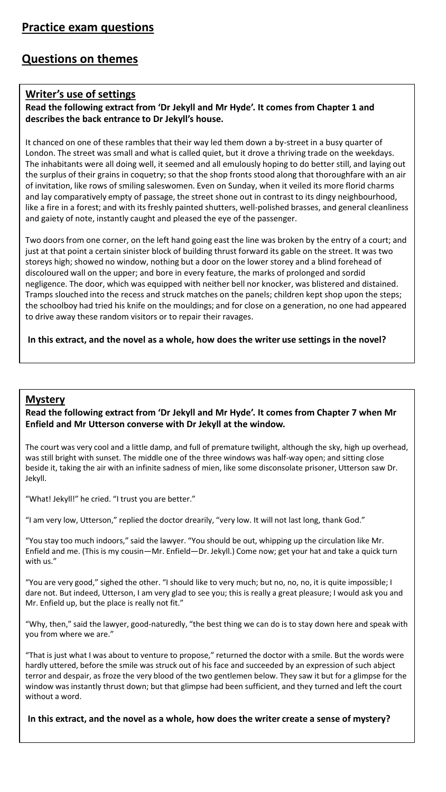## **Writer's use of settings**

## **Read the following extract from 'Dr Jekyll and Mr Hyde'. It comes from Chapter 1 and describes the back entrance to Dr Jekyll's house.**

It chanced on one of these rambles that their way led them down a by-street in a busy quarter of London. The street was small and what is called quiet, but it drove a thriving trade on the weekdays. The inhabitants were all doing well, it seemed and all emulously hoping to do better still, and laying out the surplus of their grains in coquetry; so that the shop fronts stood along that thoroughfare with an air of invitation, like rows of smiling saleswomen. Even on Sunday, when it veiled its more florid charms and lay comparatively empty of passage, the street shone out in contrast to its dingy neighbourhood, like a fire in a forest; and with its freshly painted shutters, well-polished brasses, and general cleanliness and gaiety of note, instantly caught and pleased the eye of the passenger.

Two doors from one corner, on the left hand going east the line was broken by the entry of a court; and just at that point a certain sinister block of building thrust forward its gable on the street. It was two storeys high; showed no window, nothing but a door on the lower storey and a blind forehead of discoloured wall on the upper; and bore in every feature, the marks of prolonged and sordid negligence. The door, which was equipped with neither bell nor knocker, was blistered and distained. Tramps slouched into the recess and struck matches on the panels; children kept shop upon the steps; the schoolboy had tried his knife on the mouldings; and for close on a generation, no one had appeared to drive away these random visitors or to repair their ravages.

#### **In this extract, and the novel as a whole, how does the writer use settings in the novel?**

### **Mystery**

#### **Read the following extract from 'Dr Jekyll and Mr Hyde'. It comes from Chapter 7 when Mr Enfield and Mr Utterson converse with Dr Jekyll at the window.**

The court was very cool and a little damp, and full of premature twilight, although the sky, high up overhead, was still bright with sunset. The middle one of the three windows was half-way open; and sitting close beside it, taking the air with an infinite sadness of mien, like some disconsolate prisoner, Utterson saw Dr. Jekyll.

"What! Jekyll!" he cried. "I trust you are better."

"I am very low, Utterson," replied the doctor drearily, "very low. It will not last long, thank God."

"You stay too much indoors," said the lawyer. "You should be out, whipping up the circulation like Mr. Enfield and me. (This is my cousin—Mr. Enfield—Dr. Jekyll.) Come now; get your hat and take a quick turn with us."

"You are very good," sighed the other. "I should like to very much; but no, no, no, it is quite impossible; I dare not. But indeed, Utterson, I am very glad to see you; this is really a great pleasure; I would ask you and Mr. Enfield up, but the place is really not fit."

"Why, then," said the lawyer, good-naturedly, "the best thing we can do is to stay down here and speak with you from where we are."

"That is just what I was about to venture to propose," returned the doctor with a smile. But the words were hardly uttered, before the smile was struck out of his face and succeeded by an expression of such abject terror and despair, as froze the very blood of the two gentlemen below. They saw it but for a glimpse for the window was instantly thrust down; but that glimpse had been sufficient, and they turned and left the court without a word.

**In this extract, and the novel as a whole, how does the writer create a sense of mystery?**